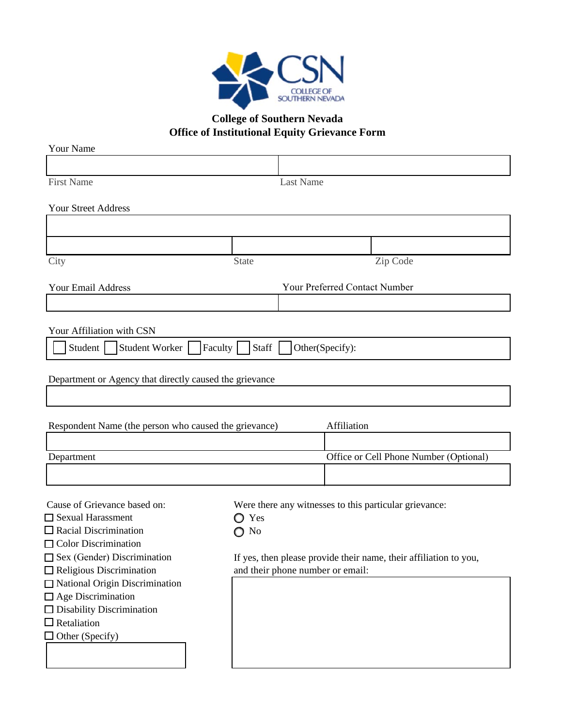

## **College of Southern Nevada Office of Institutional Equity Grievance Form**

| <b>Your Name</b>                                                       |                                                               |                  |                                        |          |                                                                   |
|------------------------------------------------------------------------|---------------------------------------------------------------|------------------|----------------------------------------|----------|-------------------------------------------------------------------|
|                                                                        |                                                               |                  |                                        |          |                                                                   |
| <b>First Name</b>                                                      |                                                               | <b>Last Name</b> |                                        |          |                                                                   |
| <b>Your Street Address</b>                                             |                                                               |                  |                                        |          |                                                                   |
|                                                                        |                                                               |                  |                                        |          |                                                                   |
|                                                                        |                                                               |                  |                                        |          |                                                                   |
|                                                                        |                                                               |                  |                                        |          |                                                                   |
| City                                                                   | State                                                         |                  |                                        | Zip Code |                                                                   |
| <b>Your Email Address</b>                                              |                                                               |                  | Your Preferred Contact Number          |          |                                                                   |
|                                                                        |                                                               |                  |                                        |          |                                                                   |
| Your Affiliation with CSN                                              |                                                               |                  |                                        |          |                                                                   |
| Student Worker  <br>Other(Specify):<br>Student  <br>Faculty  <br>Staff |                                                               |                  |                                        |          |                                                                   |
|                                                                        |                                                               |                  |                                        |          |                                                                   |
| Department or Agency that directly caused the grievance                |                                                               |                  |                                        |          |                                                                   |
|                                                                        |                                                               |                  |                                        |          |                                                                   |
| Respondent Name (the person who caused the grievance)                  |                                                               |                  | Affiliation                            |          |                                                                   |
|                                                                        |                                                               |                  |                                        |          |                                                                   |
| Department                                                             |                                                               |                  | Office or Cell Phone Number (Optional) |          |                                                                   |
|                                                                        |                                                               |                  |                                        |          |                                                                   |
| Cause of Grievance based on:                                           |                                                               |                  |                                        |          |                                                                   |
| $\Box$ Sexual Harassment                                               | Were there any witnesses to this particular grievance:<br>Yes |                  |                                        |          |                                                                   |
| $\Box$ Racial Discrimination                                           | N <sub>0</sub>                                                |                  |                                        |          |                                                                   |
| Color Discrimination                                                   |                                                               |                  |                                        |          |                                                                   |
| Sex (Gender) Discrimination                                            |                                                               |                  |                                        |          | If yes, then please provide their name, their affiliation to you, |
| $\Box$ Religious Discrimination<br>and their phone number or email:    |                                                               |                  |                                        |          |                                                                   |
| National Origin Discrimination                                         |                                                               |                  |                                        |          |                                                                   |
| $\Box$ Age Discrimination                                              |                                                               |                  |                                        |          |                                                                   |
| □ Disability Discrimination                                            |                                                               |                  |                                        |          |                                                                   |
| $\Box$ Retaliation                                                     |                                                               |                  |                                        |          |                                                                   |
| $\Box$ Other (Specify)                                                 |                                                               |                  |                                        |          |                                                                   |
|                                                                        |                                                               |                  |                                        |          |                                                                   |
|                                                                        |                                                               |                  |                                        |          |                                                                   |